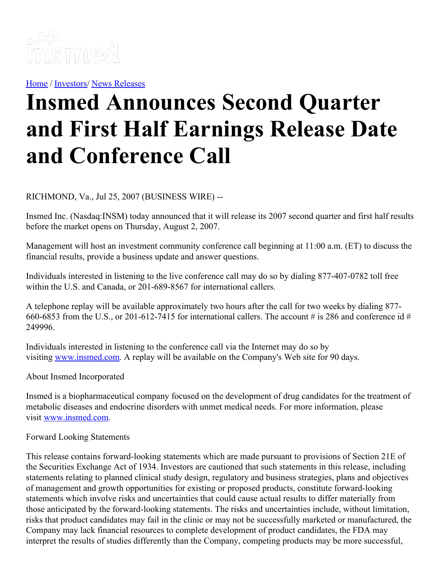

[Home](https://insmed.com/) / [Investors](https://investor.insmed.com/index)/ News [Releases](https://investor.insmed.com/releases)

## **Insmed Announces Second Quarter and First Half Earnings Release Date and Conference Call**

RICHMOND, Va., Jul 25, 2007 (BUSINESS WIRE) --

Insmed Inc. (Nasdaq:INSM) today announced that it will release its 2007 second quarter and first half results before the market opens on Thursday, August 2, 2007.

Management will host an investment community conference call beginning at 11:00 a.m. (ET) to discuss the financial results, provide a business update and answer questions.

Individuals interested in listening to the live conference call may do so by dialing 877-407-0782 toll free within the U.S. and Canada, or 201-689-8567 for international callers.

A telephone replay will be available approximately two hours after the call for two weeks by dialing 877- 660-6853 from the U.S., or 201-612-7415 for international callers. The account # is 286 and conference id # 249996.

Individuals interested in listening to the conference call via the Internet may do so by visiting [www.insmed.com](http://www.insmed.com/). A replay will be available on the Company's Web site for 90 days.

About Insmed Incorporated

Insmed is a biopharmaceutical company focused on the development of drug candidates for the treatment of metabolic diseases and endocrine disorders with unmet medical needs. For more information, please visit [www.insmed.com](http://www.insmed.com/).

## Forward Looking Statements

This release contains forward-looking statements which are made pursuant to provisions of Section 21E of the Securities Exchange Act of 1934. Investors are cautioned that such statements in this release, including statements relating to planned clinical study design, regulatory and business strategies, plans and objectives of management and growth opportunities for existing or proposed products, constitute forward-looking statements which involve risks and uncertainties that could cause actual results to differ materially from those anticipated by the forward-looking statements. The risks and uncertainties include, without limitation, risks that product candidates may fail in the clinic or may not be successfully marketed or manufactured, the Company may lack financial resources to complete development of product candidates, the FDA may interpret the results of studies differently than the Company, competing products may be more successful,